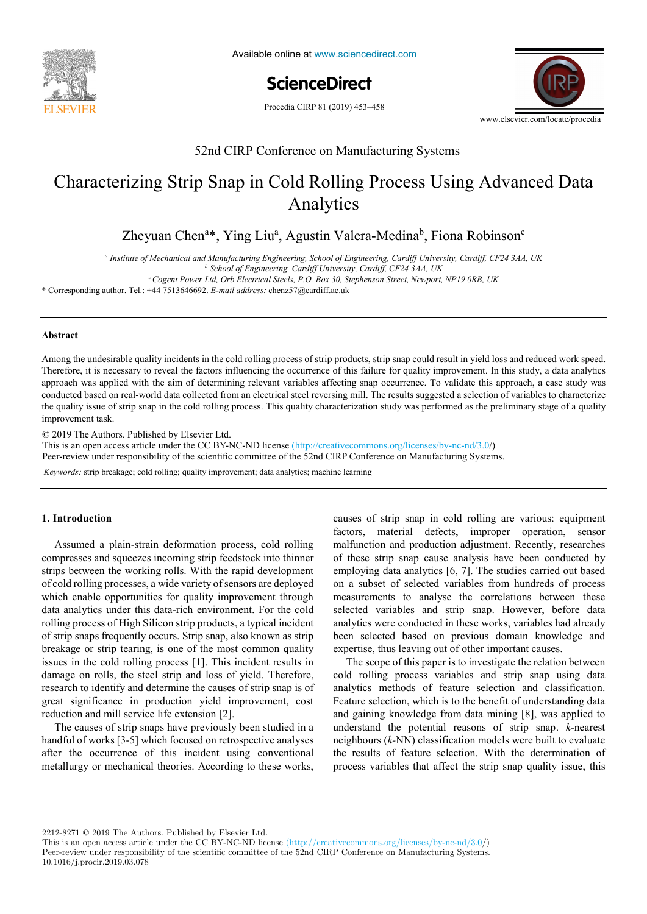

Available online at www.sciencedirect.com

**ScienceDirect** ScienceDirect Procedia CIRP 00 (2019) 000–000

Procedia CIRP 81 (2019) 453-458



# 52nd CIRP Conference on Manufacturing Systems 52nd CIRP Conference on Manufacturing Systems

# Characterizing Strip Snap in Cold Rolling Process Using Advanced Data  $\Lambda$  maty trees Analytics Analytics

Zheyuan Chen<sup>a\*</sup>, Ying Liu<sup>a</sup>, Agustin Valera-Medina<sup>b</sup>, Fiona Robinson<sup>c</sup>

a<br>Institute of Mechanical and Manufacturing Engineering, School of Engineering, Cardiff University, Cardiff, CF24 3AA, UK

Paul Stief \*, Jean-Yves Dantan, Alain Etienne, Ali Siadat *<sup>b</sup> School of Engineering, Cardiff University, Cardiff, CF24 3AA, UK <sup>b</sup> School of Engineering, Cardiff University, Cardiff, CF24 3AA, UK*

*cCogent Power Ltd, Orb Electrical Steels, P.O. Box 30, Stephenson Street, Newport, NP19 0RB, UK cCogent Power Ltd, Orb Electrical Steels, P.O. Box 30, Stephenson Street, Newport, NP19 0RB, UK*

<sup>2</sup> Corresponding author. Tel.: +44 7513646692. *E-mail address:* chenz57@cardiff.ac.uk

\* Corresponding author. Tel.: +33 3 87 37 54 30; *E-mail address:* paul.stief@ensam.eu

# **Abstract Abstract**

Therefore, it is necessary to reveal the factors influencing the occurrence of this failure for quality improvement. In this study, a data analytics In the trend to the trend to the trend to the trend to the trend to the trend to the trend to the trend the trend to the share the share the need of the need of the need of the need of the need of the need of the need of t  $\epsilon$  and reconfigurate products and reconfigurate products and products and products and products and products and products and products and products and products and product families. This evolution and optimize products systems as well as to choose the optimal product. This quality entitieerization study was performed as the premium y stage of a quality analyze a product family on the physical level. Different product families, however, may differ largely in the number and number and number and number and number and the number and number and number and number and number a Among the undesirable quality incidents in the cold rolling process of strip products, strip snap could result in yield loss and reduced work speed. approach was applied with the aim of determining relevant variables affecting snap occurrence. To validate this approach, a case study was conducted based on real-world data collected from an electrical steel reversing mill. The results suggested a selection of variables to characterize the quality issue of strip snap in the cold rolling process. This quality characterization study was performed as the preliminary stage of a quality improvement task. improvement task.  $\mathcal{L}$  The Authors.  $\mathcal{L}$  and  $\mathcal{L}$  and  $\mathcal{L}$  are  $\mathcal{L}$ .

a functional analysis is performed. Moreover, a hybrid functional and physical architecture graph (HyFPAG) is the output which depicts the

© 2019 The Authors. Published by Elsevier Ltd.

This is an open access article under the CC BY-NC-ND license (http://creativecommons.org/licenses/by-nc-nd/3.0/)

Peer-review under responsibility of the scientific committee of the 52nd CIRP Conference on Manufacturing Systems.

Keywords: strip breakage; cold rolling; quality improvement; data analytics; machine learning

# **1. Introduction 1. Introduction**

Assumed a plain-strain deformation process, cold rolling malfunction and production strips between the working rolls. With the rapid development of calibration of the working rolls. With the rapid development data analytics under this data-rich environment. For the cold railing angrees of Uigh Silican strip are ducts a tunisol insident. of strip snaps frequently occurs. Strip snap, also known as strip of strip snaps frequently occurs. Strip snap, also known as strip<br>breakage or strip tearing, is one of the most common quality issues in the cold rolling process  $[1]$ . This incident results in  $\frac{1}{2}$ damage on rolls, the steel strip and loss of yield. Therefore, research to identify and determine the causes of strip snap is of research to identify and determine the causes of strip snap is of great significance in production yield improvement, cost reduction and mill continue life returning [2]. reduction and mill service life extension [2].<br>The same of the same have applicable have the light Assumed a plain-strain deformation process, cold rolling<br>compresses and squeezes incoming strip feedstock into thinner of cold rolling processes, a wide variety of sensors are deployed of cold rolling processes, a wide variety of sensors are deployed which enable opportunities for quality improvement through  $\det$  and  $\det$  and  $\det$  and  $\det$  and  $\det$  and  $\det$  and  $\det$  and  $\det$  and  $\det$  and  $\det$  and  $\det$  and  $\det$  and  $\det$  and  $\det$  and  $\det$  and  $\det$  and  $\det$  and  $\det$  and rolling process of High Silicon strip products, a typical incident<br>of strip grams framewhy against Strip gram, also linearly as thin compresses and squeezes incoming strip feedstock into thinner breakage or strip tearing, is one or the most common quanty great significance in production yield improvement, cost

The causes of strip snaps have previously been studied in a have field of much  $\Omega$ . The virial formed on a trend, and we are less manutur of works  $[3-3]$  which focused on retrospective analyses after the occurrence of this incident using conventional  $\mathbf{d}$ metallurgy or mechanical theories. According to these works, handful of works [3-5] which focused on retrospective analyses after the occurrence of this incluent using conventional

**1. Introduction** causes of strip snap in cold rolling are various: equipment measurements to analyse the correlations between these selected variables and strip snap. However, before data analytics were conducted in these works, variables had already have a chatter in these works, variables had already been selected based on previous domain knowledge and been selected based on previous domain knowledge and<br>expertise, thus leaving out of other important causes. factors, material defects, improper operation, sensor  $m_1$  factors, in the sensor operation, sensor malfunction and production adjustment. Recently, researches malfunction and production adjustment. Recently, researches of these strip snap cause analysis have been conducted by employing data analytics [6, 7]. The studies carried out based employing data analytics [6, 7]. The studies carried out based on a subset of selected variables from hundreds of process measurements to analyse the correlations between these of these strip snap cause analysis have been conducted by selected variables and strip snap. However, before data

Expertise, thus leaving out of other important causes.<br>The scope of this paper is to investigate the relation between cold rolling process variables and strip snap using data existing process variables and strip snap using data analytics methods of feature selection and classification.<br>Exeture selection which is to the herefit of we denote dine date. Feature selection, which is to the benefit of understanding data  $\alpha$  and existing localized factor data minima  $[8]$  une explicit to and gaining knowledge from data mining  $[8]$ , was applied to  $\alpha$  denotes different to  $\alpha$ understand the potential reasons of strip snap.  $k$ -nearest  $k$ -nearest  $(k)$  the point of  $k$ -nearest  $k$ -nearest  $k$ -nearest  $k$ -nearest  $k$ -nearest  $k$ -nearest  $k$ -nearest  $k$ -nearest  $k$ -nearest  $k$ -nearest  $k$ -nearest the of components ( $e^{-1}$ NIV) classification inouels were built to evaluate the results of feature selection. With the determination of process variables that affect the strip snap quality issue, this neighbours (*k-*NN) classification models were built to evaluate The scope of this paper is to investigate the relation between the results of feature selection. With the determination of

2212-8271 © 2019 The Authors. Published by Elsevier Ltd.

This is an open access article under the CC BY-NC-ND license (http://creativecommons.org/licenses/by-nc-nd/3.0/) Peer-review under responsibility of the scientific committee of the 52nd CIRP Conference on Manufacturing Systems.

10.1016/j.procir.2019.03.078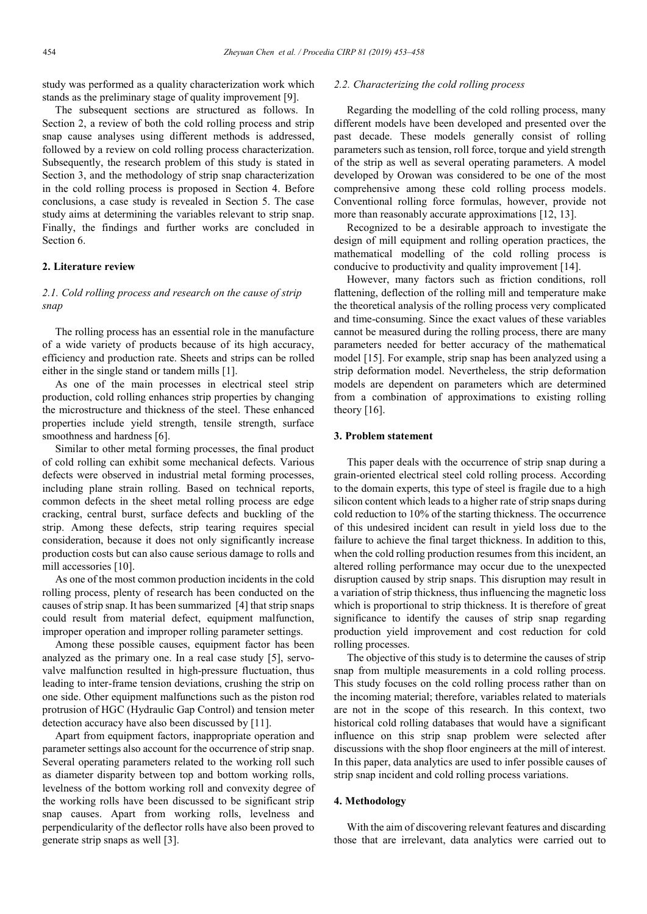study was performed as a quality characterization work which stands as the preliminary stage of quality improvement [9].

The subsequent sections are structured as follows. In Section 2, a review of both the cold rolling process and strip snap cause analyses using different methods is addressed, followed by a review on cold rolling process characterization. Subsequently, the research problem of this study is stated in Section 3, and the methodology of strip snap characterization in the cold rolling process is proposed in Section 4. Before conclusions, a case study is revealed in Section 5. The case study aims at determining the variables relevant to strip snap. Finally, the findings and further works are concluded in Section 6.

#### **2. Literature review**

# *2.1. Cold rolling process and research on the cause of strip snap*

The rolling process has an essential role in the manufacture of a wide variety of products because of its high accuracy, efficiency and production rate. Sheets and strips can be rolled either in the single stand or tandem mills [1].

As one of the main processes in electrical steel strip production, cold rolling enhances strip properties by changing the microstructure and thickness of the steel. These enhanced properties include yield strength, tensile strength, surface smoothness and hardness [6].

Similar to other metal forming processes, the final product of cold rolling can exhibit some mechanical defects. Various defects were observed in industrial metal forming processes, including plane strain rolling. Based on technical reports, common defects in the sheet metal rolling process are edge cracking, central burst, surface defects and buckling of the strip. Among these defects, strip tearing requires special consideration, because it does not only significantly increase production costs but can also cause serious damage to rolls and mill accessories [10].

As one of the most common production incidents in the cold rolling process, plenty of research has been conducted on the causes of strip snap. It has been summarized [4] that strip snaps could result from material defect, equipment malfunction, improper operation and improper rolling parameter settings.

Among these possible causes, equipment factor has been analyzed as the primary one. In a real case study [5], servovalve malfunction resulted in high-pressure fluctuation, thus leading to inter-frame tension deviations, crushing the strip on one side. Other equipment malfunctions such as the piston rod protrusion of HGC (Hydraulic Gap Control) and tension meter detection accuracy have also been discussed by [11].

Apart from equipment factors, inappropriate operation and parameter settings also account for the occurrence of strip snap. Several operating parameters related to the working roll such as diameter disparity between top and bottom working rolls, levelness of the bottom working roll and convexity degree of the working rolls have been discussed to be significant strip snap causes. Apart from working rolls, levelness and perpendicularity of the deflector rolls have also been proved to generate strip snaps as well [3].

## *2.2. Characterizing the cold rolling process*

Regarding the modelling of the cold rolling process, many different models have been developed and presented over the past decade. These models generally consist of rolling parameters such as tension, roll force, torque and yield strength of the strip as well as several operating parameters. A model developed by Orowan was considered to be one of the most comprehensive among these cold rolling process models. Conventional rolling force formulas, however, provide not more than reasonably accurate approximations [12, 13].

Recognized to be a desirable approach to investigate the design of mill equipment and rolling operation practices, the mathematical modelling of the cold rolling process is conducive to productivity and quality improvement [14].

However, many factors such as friction conditions, roll flattening, deflection of the rolling mill and temperature make the theoretical analysis of the rolling process very complicated and time-consuming. Since the exact values of these variables cannot be measured during the rolling process, there are many parameters needed for better accuracy of the mathematical model [15]. For example, strip snap has been analyzed using a strip deformation model. Nevertheless, the strip deformation models are dependent on parameters which are determined from a combination of approximations to existing rolling theory  $[16]$ .

### **3. Problem statement**

This paper deals with the occurrence of strip snap during a grain-oriented electrical steel cold rolling process. According to the domain experts, this type of steel is fragile due to a high silicon content which leads to a higher rate of strip snaps during cold reduction to 10% of the starting thickness. The occurrence of this undesired incident can result in yield loss due to the failure to achieve the final target thickness. In addition to this, when the cold rolling production resumes from this incident, an altered rolling performance may occur due to the unexpected disruption caused by strip snaps. This disruption may result in a variation of strip thickness, thus influencing the magnetic loss which is proportional to strip thickness. It is therefore of great significance to identify the causes of strip snap regarding production yield improvement and cost reduction for cold rolling processes.

The objective of this study is to determine the causes of strip snap from multiple measurements in a cold rolling process. This study focuses on the cold rolling process rather than on the incoming material; therefore, variables related to materials are not in the scope of this research. In this context, two historical cold rolling databases that would have a significant influence on this strip snap problem were selected after discussions with the shop floor engineers at the mill of interest. In this paper, data analytics are used to infer possible causes of strip snap incident and cold rolling process variations.

# **4. Methodology**

With the aim of discovering relevant features and discarding those that are irrelevant, data analytics were carried out to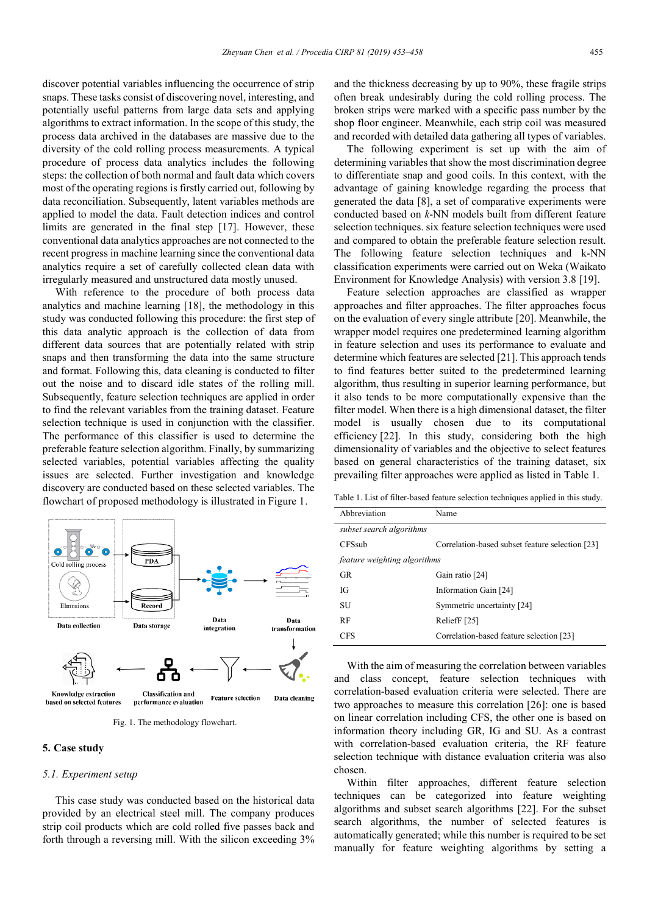discover potential variables influencing the occurrence of strip snaps. These tasks consist of discovering novel, interesting, and potentially useful patterns from large data sets and applying algorithms to extract information. In the scope of this study, the process data archived in the databases are massive due to the diversity of the cold rolling process measurements. A typical procedure of process data analytics includes the following steps: the collection of both normal and fault data which covers most of the operating regions is firstly carried out, following by data reconciliation. Subsequently, latent variables methods are applied to model the data. Fault detection indices and control limits are generated in the final step [17]. However, these conventional data analytics approaches are not connected to the recent progress in machine learning since the conventional data analytics require a set of carefully collected clean data with irregularly measured and unstructured data mostly unused.

With reference to the procedure of both process data analytics and machine learning [18], the methodology in this study was conducted following this procedure: the first step of this data analytic approach is the collection of data from different data sources that are potentially related with strip snaps and then transforming the data into the same structure and format. Following this, data cleaning is conducted to filter out the noise and to discard idle states of the rolling mill. Subsequently, feature selection techniques are applied in order to find the relevant variables from the training dataset. Feature selection technique is used in conjunction with the classifier. The performance of this classifier is used to determine the preferable feature selection algorithm. Finally, by summarizing selected variables, potential variables affecting the quality issues are selected. Further investigation and knowledge discovery are conducted based on these selected variables. The flowchart of proposed methodology is illustrated in Figure 1.



Fig. 1. The methodology flowchart.

#### **5. Case study**

#### *5.1. Experiment setup*

This case study was conducted based on the historical data provided by an electrical steel mill. The company produces strip coil products which are cold rolled five passes back and forth through a reversing mill. With the silicon exceeding 3% and the thickness decreasing by up to 90%, these fragile strips often break undesirably during the cold rolling process. The broken strips were marked with a specific pass number by the shop floor engineer. Meanwhile, each strip coil was measured and recorded with detailed data gathering all types of variables.

The following experiment is set up with the aim of determining variables that show the most discrimination degree to differentiate snap and good coils. In this context, with the advantage of gaining knowledge regarding the process that generated the data [8], a set of comparative experiments were conducted based on *k*-NN models built from different feature selection techniques. six feature selection techniques were used and compared to obtain the preferable feature selection result. The following feature selection techniques and k-NN classification experiments were carried out on Weka (Waikato Environment for Knowledge Analysis) with version 3.8 [19].

Feature selection approaches are classified as wrapper approaches and filter approaches. The filter approaches focus on the evaluation of every single attribute [20]. Meanwhile, the wrapper model requires one predetermined learning algorithm in feature selection and uses its performance to evaluate and determine which features are selected [21]. This approach tends to find features better suited to the predetermined learning algorithm, thus resulting in superior learning performance, but it also tends to be more computationally expensive than the filter model. When there is a high dimensional dataset, the filter model is usually chosen due to its computational efficiency [22]. In this study, considering both the high dimensionality of variables and the objective to select features based on general characteristics of the training dataset, six prevailing filter approaches were applied as listed in Table 1.

Table 1. List of filter-based feature selection techniques applied in this study.

| Abbreviation                        | Name                                            |  |  |  |  |
|-------------------------------------|-------------------------------------------------|--|--|--|--|
| subset search algorithms            |                                                 |  |  |  |  |
| <b>CFSsub</b>                       | Correlation-based subset feature selection [23] |  |  |  |  |
| <i>feature weighting algorithms</i> |                                                 |  |  |  |  |
| <b>GR</b>                           | Gain ratio [24]                                 |  |  |  |  |
| Юf                                  | Information Gain [24]                           |  |  |  |  |
| SU                                  | Symmetric uncertainty [24]                      |  |  |  |  |
| RF                                  | ReliefF [25]                                    |  |  |  |  |
| <b>CFS</b>                          | Correlation-based feature selection [23]        |  |  |  |  |

With the aim of measuring the correlation between variables and class concept, feature selection techniques with correlation-based evaluation criteria were selected. There are two approaches to measure this correlation [26]: one is based on linear correlation including CFS, the other one is based on information theory including GR, IG and SU. As a contrast with correlation-based evaluation criteria, the RF feature selection technique with distance evaluation criteria was also chosen.

Within filter approaches, different feature selection techniques can be categorized into feature weighting algorithms and subset search algorithms [22]. For the subset search algorithms, the number of selected features is automatically generated; while this number is required to be set manually for feature weighting algorithms by setting a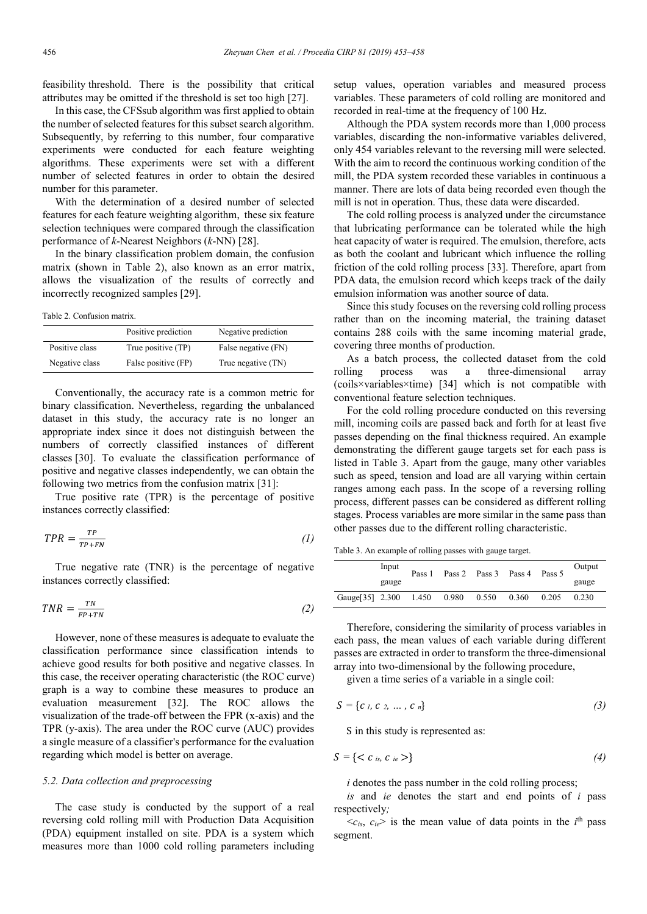feasibility threshold. There is the possibility that critical attributes may be omitted if the threshold is set too high [27].

In this case, the CFSsub algorithm was first applied to obtain the number of selected features for this subset search algorithm. Subsequently, by referring to this number, four comparative experiments were conducted for each feature weighting algorithms. These experiments were set with a different number of selected features in order to obtain the desired number for this parameter.

With the determination of a desired number of selected features for each feature weighting algorithm, these six feature selection techniques were compared through the classification performance of *k*-Nearest Neighbors (*k*-NN) [28].

In the binary classification problem domain, the confusion matrix (shown in Table 2), also known as an error matrix, allows the visualization of the results of correctly and incorrectly recognized samples [29].

Table 2. Confusion matrix.

|                | Positive prediction | Negative prediction |
|----------------|---------------------|---------------------|
| Positive class | True positive (TP)  | False negative (FN) |
| Negative class | False positive (FP) | True negative (TN)  |

Conventionally, the accuracy rate is a common metric for binary classification. Nevertheless, regarding the unbalanced dataset in this study, the accuracy rate is no longer an appropriate index since it does not distinguish between the numbers of correctly classified instances of different classes [30]. To evaluate the classification performance of positive and negative classes independently, we can obtain the following two metrics from the confusion matrix [31]:

True positive rate (TPR) is the percentage of positive instances correctly classified:

$$
TPR = \frac{TP}{TP + FN} \tag{1}
$$

True negative rate (TNR) is the percentage of negative instances correctly classified:

$$
TNR = \frac{TN}{FP + TN} \tag{2}
$$

However, none of these measures is adequate to evaluate the classification performance since classification intends to achieve good results for both positive and negative classes. In this case, the receiver operating characteristic (the ROC curve) graph is a way to combine these measures to produce an evaluation measurement [32]. The ROC allows the visualization of the trade-off between the FPR (x-axis) and the TPR (y-axis). The area under the ROC curve (AUC) provides a single measure of a classifier's performance for the evaluation regarding which model is better on average.

#### *5.2. Data collection and preprocessing*

The case study is conducted by the support of a real reversing cold rolling mill with Production Data Acquisition (PDA) equipment installed on site. PDA is a system which measures more than 1000 cold rolling parameters including setup values, operation variables and measured process variables. These parameters of cold rolling are monitored and recorded in real-time at the frequency of 100 Hz.

Although the PDA system records more than 1,000 process variables, discarding the non-informative variables delivered, only 454 variables relevant to the reversing mill were selected. With the aim to record the continuous working condition of the mill, the PDA system recorded these variables in continuous a manner. There are lots of data being recorded even though the mill is not in operation. Thus, these data were discarded.

The cold rolling process is analyzed under the circumstance that lubricating performance can be tolerated while the high heat capacity of water is required. The emulsion, therefore, acts as both the coolant and lubricant which influence the rolling friction of the cold rolling process [33]. Therefore, apart from PDA data, the emulsion record which keeps track of the daily emulsion information was another source of data.

Since this study focuses on the reversing cold rolling process rather than on the incoming material, the training dataset contains 288 coils with the same incoming material grade, covering three months of production.

As a batch process, the collected dataset from the cold rolling process was a three-dimensional array (coils×variables×time) [34] which is not compatible with conventional feature selection techniques.

For the cold rolling procedure conducted on this reversing mill, incoming coils are passed back and forth for at least five passes depending on the final thickness required. An example demonstrating the different gauge targets set for each pass is listed in Table 3. Apart from the gauge, many other variables such as speed, tension and load are all varying within certain ranges among each pass. In the scope of a reversing rolling process, different passes can be considered as different rolling stages. Process variables are more similar in the same pass than other passes due to the different rolling characteristic.

Table 3. An example of rolling passes with gauge target.

|                  | Input | Pass 1 |       |       | Pass 2 Pass 3 Pass 4 | Pass 5 | Output |
|------------------|-------|--------|-------|-------|----------------------|--------|--------|
|                  | gauge |        |       |       |                      |        | gauge  |
| Gauge [35] 2.300 |       | 1.450  | 0.980 | 0.550 | 0.360                | 0.205  | 0.230  |

Therefore, considering the similarity of process variables in each pass, the mean values of each variable during different passes are extracted in order to transform the three-dimensional array into two-dimensional by the following procedure,

given a time series of a variable in a single coil:

$$
S = \{c \mid c \in c \cup c \in n\} \tag{3}
$$

S in this study is represented as:

$$
S = \{ < c_{is}, c_{ie} \geq \} \tag{4}
$$

*i* denotes the pass number in the cold rolling process:

*is* and *ie* denotes the start and end points of *i* pass respectively*;*

 $\langle c_{is}, c_{ie} \rangle$  is the mean value of data points in the *i*<sup>th</sup> pass segment.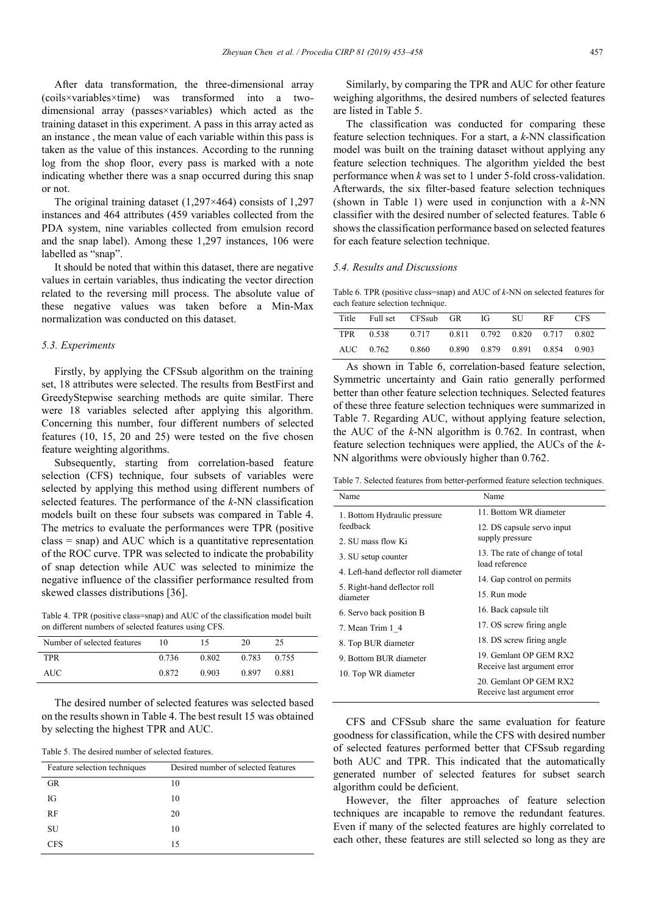After data transformation, the three-dimensional array (coils×variables×time) was transformed into a twodimensional array (passes×variables) which acted as the training dataset in this experiment. A pass in this array acted as an instance , the mean value of each variable within this pass is taken as the value of this instances. According to the running log from the shop floor, every pass is marked with a note indicating whether there was a snap occurred during this snap or not.

The original training dataset (1,297×464) consists of 1,297 instances and 464 attributes (459 variables collected from the PDA system, nine variables collected from emulsion record and the snap label). Among these 1,297 instances, 106 were labelled as "snap".

It should be noted that within this dataset, there are negative values in certain variables, thus indicating the vector direction related to the reversing mill process. The absolute value of these negative values was taken before a Min-Max normalization was conducted on this dataset.

#### *5.3. Experiments*

Firstly, by applying the CFSsub algorithm on the training set, 18 attributes were selected. The results from BestFirst and GreedyStepwise searching methods are quite similar. There were 18 variables selected after applying this algorithm. Concerning this number, four different numbers of selected features (10, 15, 20 and 25) were tested on the five chosen feature weighting algorithms.

Subsequently, starting from correlation-based feature selection (CFS) technique, four subsets of variables were selected by applying this method using different numbers of selected features. The performance of the *k*-NN classification models built on these four subsets was compared in Table 4. The metrics to evaluate the performances were TPR (positive class = snap) and AUC which is a quantitative representation of the ROC curve. TPR was selected to indicate the probability of snap detection while AUC was selected to minimize the negative influence of the classifier performance resulted from skewed classes distributions [36].

Table 4. TPR (positive class=snap) and AUC of the classification model built on different numbers of selected features using CFS.

| Number of selected features | 10    |       | 20    | 25    |
|-----------------------------|-------|-------|-------|-------|
| <b>TPR</b>                  | 0.736 | 0.802 | 0.783 | 0.755 |
| AUC-                        | 0.872 | 0.903 | 0.897 | 0.881 |

The desired number of selected features was selected based on the results shown in Table 4. The best result 15 was obtained by selecting the highest TPR and AUC.

Table 5. The desired number of selected features.

| Feature selection techniques | Desired number of selected features |
|------------------------------|-------------------------------------|
| <b>GR</b>                    | 10                                  |
| IG                           | 10                                  |
| <b>RF</b>                    | 20                                  |
| SU                           | 10                                  |
| <b>CFS</b>                   | 15                                  |

Similarly, by comparing the TPR and AUC for other feature weighing algorithms, the desired numbers of selected features are listed in Table 5.

The classification was conducted for comparing these feature selection techniques. For a start, a *k*-NN classification model was built on the training dataset without applying any feature selection techniques. The algorithm yielded the best performance when *k* was set to 1 under 5-fold cross-validation. Afterwards, the six filter-based feature selection techniques (shown in Table 1) were used in conjunction with a *k*-NN classifier with the desired number of selected features. Table 6 shows the classification performance based on selected features for each feature selection technique.

### *5.4. Results and Discussions*

Table 6. TPR (positive class=snap) and AUC of *k*-NN on selected features for each feature selection technique.

| Title | Full set CFSsub GR                            |       | - IG- | SU.                           | RF. | <b>CFS</b> |
|-------|-----------------------------------------------|-------|-------|-------------------------------|-----|------------|
|       | TPR 0.538 0.717 0.811 0.792 0.820 0.717 0.802 |       |       |                               |     |            |
|       | AUC 0.762                                     | 0.860 |       | 0.890 0.879 0.891 0.854 0.903 |     |            |

As shown in Table 6, correlation-based feature selection, Symmetric uncertainty and Gain ratio generally performed better than other feature selection techniques. Selected features of these three feature selection techniques were summarized in Table 7. Regarding AUC, without applying feature selection, the AUC of the *k*-NN algorithm is 0.762. In contrast, when feature selection techniques were applied, the AUCs of the *k*-NN algorithms were obviously higher than 0.762.

Table 7. Selected features from better-performed feature selection techniques.

| Name                                 | Name                                                                            |  |  |  |  |
|--------------------------------------|---------------------------------------------------------------------------------|--|--|--|--|
| 1. Bottom Hydraulic pressure         | 11. Bottom WR diameter                                                          |  |  |  |  |
| feedback                             | 12. DS capsule servo input                                                      |  |  |  |  |
| 2. SU mass flow Ki                   | supply pressure                                                                 |  |  |  |  |
| 3. SU setup counter                  | 13. The rate of change of total<br>load reference                               |  |  |  |  |
| 4. Left-hand deflector roll diameter |                                                                                 |  |  |  |  |
| 5. Right-hand deflector roll         | 14. Gap control on permits                                                      |  |  |  |  |
| diameter                             | 15. Run mode                                                                    |  |  |  |  |
| 6. Servo back position B             | 16. Back capsule tilt<br>17. OS screw firing angle<br>18. DS screw firing angle |  |  |  |  |
| 7. Mean Trim 1 4                     |                                                                                 |  |  |  |  |
| 8. Top BUR diameter                  |                                                                                 |  |  |  |  |
| 9. Bottom BUR diameter               | 19. Gemlant OP GEM RX2                                                          |  |  |  |  |
| 10. Top WR diameter                  | Receive last argument error                                                     |  |  |  |  |
|                                      | 20. Gemlant OP GEM RX2<br>Receive last argument error                           |  |  |  |  |
|                                      |                                                                                 |  |  |  |  |

CFS and CFSsub share the same evaluation for feature goodness for classification, while the CFS with desired number of selected features performed better that CFSsub regarding both AUC and TPR. This indicated that the automatically generated number of selected features for subset search algorithm could be deficient.

However, the filter approaches of feature selection techniques are incapable to remove the redundant features. Even if many of the selected features are highly correlated to each other, these features are still selected so long as they are